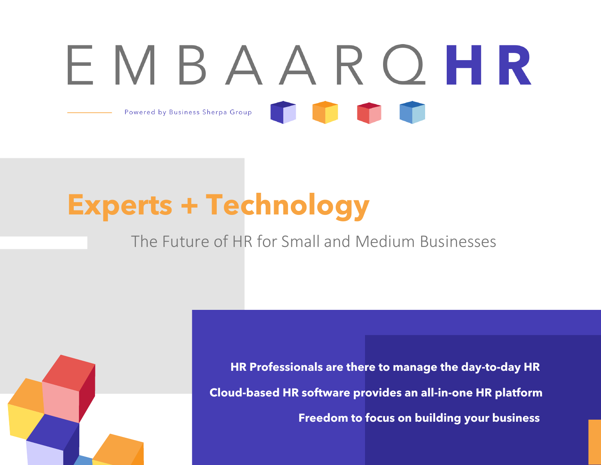# EMBAARQHR Powered by Business Sherpa Group

### **Experts + Technology**

### The Future of HR for Small and Medium Businesses

**HR Professionals are there to manage the day-to-day HR Cloud-based HR software provides an all-in-one HR platform Freedom to focus on building your business**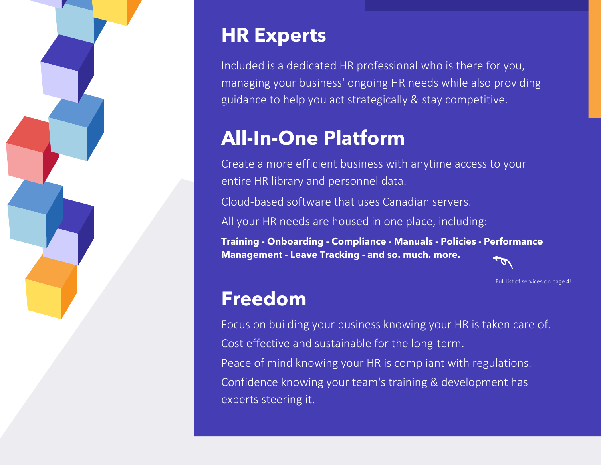

### **HR Experts**

Included is a dedicated HR professional who is there for you, managing your business' ongoing HR needs while also providing guidance to help you act strategically & stay competitive.

### **All-In-One Platform**

Create a more efficient business with anytime access to your entire HR library and personnel data.

Cloud-based software that uses Canadian servers.

All your HR needs are housed in one place, including:

**Training - Onboarding - Compliance - Manuals - Policies - Performance Management - Leave Tracking - and so. much. more.**

Full list of services on page 4!

### **Freedom**

Focus on building your business knowing your HR is taken care of. Cost effective and sustainable for the long-term. Peace of mind knowing your HR is compliant with regulations. Confidence knowing your team's training & development has experts steering it.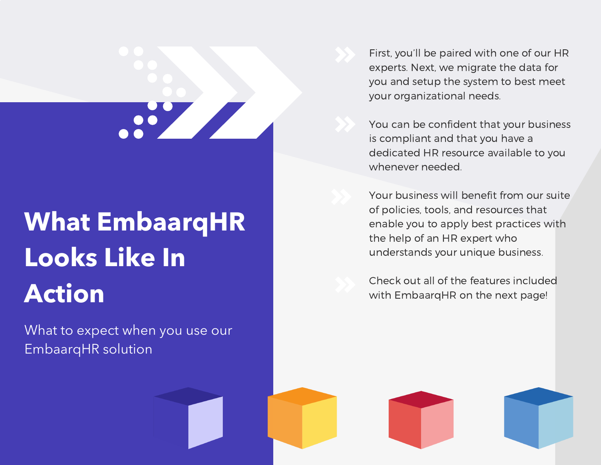# 

### **What EmbaarqHR Looks Like In Action**

What to expect when you use our EmbaarqHR solution

First, you'll be paired with one of our HR experts. Next, we migrate the data for you and setup the system to best meet your organizational needs.

You can be confident that your business is compliant and that you have a dedicated HR resource available to you whenever needed.

Your business will benefit from our suite of policies, tools, and resources that enable you to apply best practices with the help of an HR expert who understands your unique business.

Check out all of the features included with EmbaarqHR on the next page!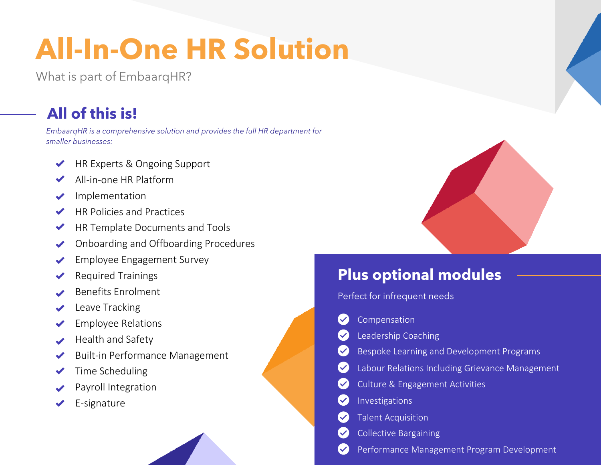### **All-In-One HR Solution**

What is part of EmbaarqHR?

### **All of this is!**

EmbaarqHR is a comprehensive solution and provides the full HR department for smaller businesses:

- HR Experts & Ongoing Support
- All-in-one HR Platform
- Implementation  $\blacktriangledown$
- HR Policies and Practices  $\blacktriangledown$
- HR Template Documents and Tools  $\blacktriangledown$
- Onboarding and Offboarding Procedures
- Employee Engagement Survey
- Required Trainings
- Benefits Enrolment
- Leave Tracking
- Employee Relations
- Health and Safety
- Built-in Performance Management
- Time Scheduling  $\blacktriangledown$
- Payroll Integration
- E-signature

### **Plus optional modules**

Perfect for infrequent needs

- Compensation  $\blacktriangledown$
- Leadership Coaching  $\blacktriangledown$
- Bespoke Learning and Development Programs
- Labour Relations Including Grievance Management
- Culture & Engagement Activities
- Investigations
- Talent Acquisition
- Collective Bargaining
- Performance Management Program Development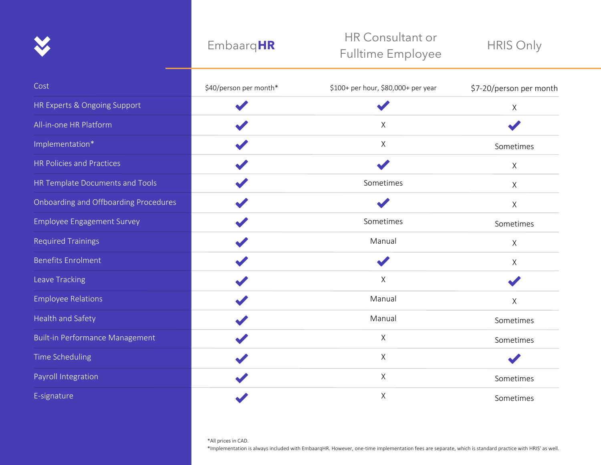#### Embaarq**HR**

#### HR Consultant or Fulltime Employee

HRIS Only

| Cost                                  | \$40/person per month* | \$100+ per hour, \$80,000+ per year | \$7-20/person per month |
|---------------------------------------|------------------------|-------------------------------------|-------------------------|
| HR Experts & Ongoing Support          |                        |                                     | $\sf X$                 |
| All-in-one HR Platform                |                        | X                                   |                         |
| Implementation*                       |                        | X                                   | Sometimes               |
| HR Policies and Practices             |                        |                                     | $\mathsf X$             |
| HR Template Documents and Tools       |                        | Sometimes                           | X                       |
| Onboarding and Offboarding Procedures |                        |                                     | $\times$                |
| <b>Employee Engagement Survey</b>     |                        | Sometimes                           | Sometimes               |
| <b>Required Trainings</b>             |                        | Manual                              | $\mathsf X$             |
| <b>Benefits Enrolment</b>             |                        |                                     | $\mathsf{X}$            |
| Leave Tracking                        |                        | X                                   |                         |
| <b>Employee Relations</b>             |                        | Manual                              | $\mathsf X$             |
| Health and Safety                     |                        | Manual                              | Sometimes               |
| Built-in Performance Management       |                        | Χ                                   | Sometimes               |
| Time Scheduling                       |                        | X                                   |                         |
| Payroll Integration                   |                        | X                                   | Sometimes               |
| E-signature                           |                        | $\mathsf X$                         | Sometimes               |

\*Implementation is always included with EmbaarqHR. However, one-time implementation fees are separate, which is standard practice with HRIS' as well.